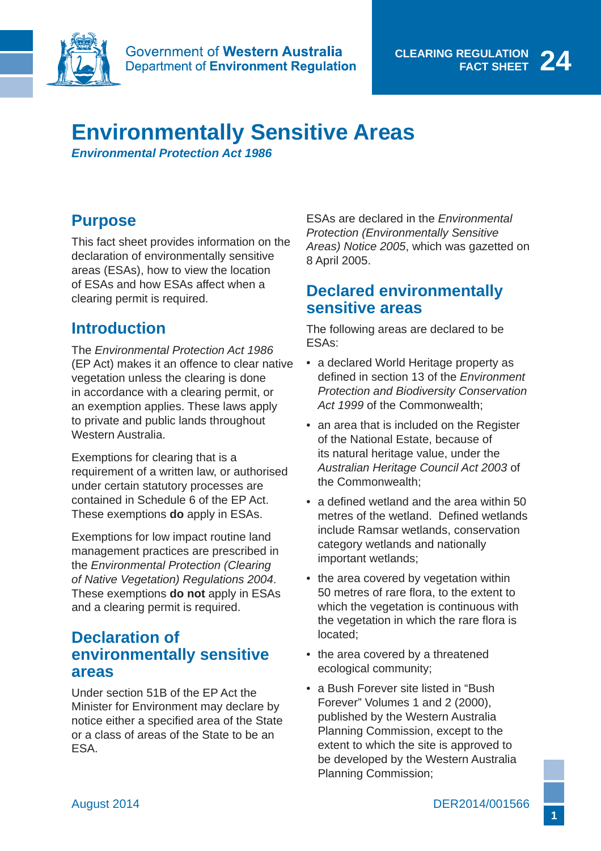

# **Environmentally Sensitive Areas**

*Environmental Protection Act 1986*

# **Purpose**

This fact sheet provides information on the declaration of environmentally sensitive areas (ESAs), how to view the location of ESAs and how ESAs affect when a clearing permit is required.

# **Introduction**

The *Environmental Protection Act 1986* (EP Act) makes it an offence to clear native vegetation unless the clearing is done in accordance with a clearing permit, or an exemption applies. These laws apply to private and public lands throughout Western Australia.

Exemptions for clearing that is a requirement of a written law, or authorised under certain statutory processes are contained in Schedule 6 of the EP Act. These exemptions **do** apply in ESAs.

Exemptions for low impact routine land management practices are prescribed in the *Environmental Protection (Clearing of Native Vegetation) Regulations 2004*. These exemptions **do not** apply in ESAs and a clearing permit is required.

#### **Declaration of environmentally sensitive areas**

Under section 51B of the EP Act the Minister for Environment may declare by notice either a specified area of the State or a class of areas of the State to be an ESA.

ESAs are declared in the *Environmental Protection (Environmentally Sensitive Areas) Notice 2005*, which was gazetted on 8 April 2005.

## **Declared environmentally sensitive areas**

The following areas are declared to be ESAs:

- a declared World Heritage property as defined in section 13 of the *Environment Protection and Biodiversity Conservation Act 1999* of the Commonwealth;
- an area that is included on the Register of the National Estate, because of its natural heritage value, under the *Australian Heritage Council Act 2003* of the Commonwealth;
- a defined wetland and the area within  $50$ metres of the wetland. Defined wetlands include Ramsar wetlands, conservation category wetlands and nationally important wetlands;
- the area covered by vegetation within 50 metres of rare flora, to the extent to which the vegetation is continuous with the vegetation in which the rare flora is located;
- the area covered by a threatened ecological community;
- a Bush Forever site listed in "Bush" Forever" Volumes 1 and 2 (2000), published by the Western Australia Planning Commission, except to the extent to which the site is approved to be developed by the Western Australia Planning Commission;